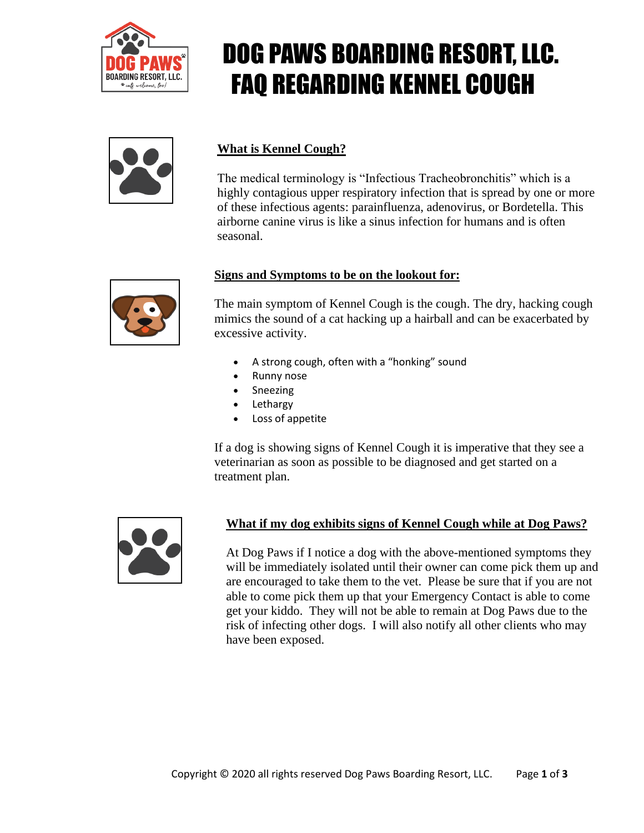

## DOG PAWS BOARDING RESORT, LLC. FAQ REGARDING KENNEL COUGH



#### **What is Kennel Cough?**

The medical terminology is "Infectious Tracheobronchitis" which is a highly contagious upper respiratory infection that is spread by one or more of these infectious agents: parainfluenza, adenovirus, or Bordetella. This airborne canine virus is like a sinus infection for humans and is often seasonal.



#### **Signs and Symptoms to be on the lookout for:**

The main symptom of Kennel Cough is the cough. The dry, hacking cough mimics the sound of a cat hacking up a hairball and can be exacerbated by excessive activity.

- A strong cough, often with a "honking" sound
- Runny nose
- Sneezing
- **Lethargy**
- Loss of appetite

If a dog is showing signs of Kennel Cough it is imperative that they see a veterinarian as soon as possible to be diagnosed and get started on a treatment plan.



#### **What if my dog exhibits signs of Kennel Cough while at Dog Paws?**

At Dog Paws if I notice a dog with the above-mentioned symptoms they will be immediately isolated until their owner can come pick them up and are encouraged to take them to the vet. Please be sure that if you are not able to come pick them up that your Emergency Contact is able to come get your kiddo. They will not be able to remain at Dog Paws due to the risk of infecting other dogs. I will also notify all other clients who may have been exposed.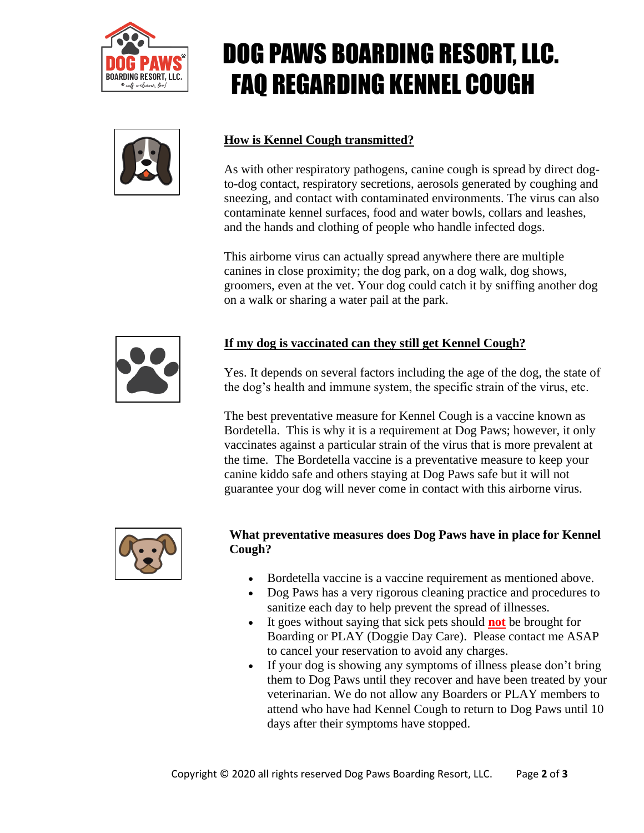



# DOG PAWS BOARDING RESORT, LLC. FAQ REGARDING KENNEL COUGH

### **How is Kennel Cough transmitted?**

As with other respiratory pathogens, canine cough is spread by direct dogto-dog contact, respiratory secretions, aerosols generated by coughing and sneezing, and contact with contaminated environments. The virus can also contaminate kennel surfaces, food and water bowls, collars and leashes, and the hands and clothing of people who handle infected dogs.

This airborne virus can actually spread anywhere there are multiple canines in close proximity; the dog park, on a dog walk, dog shows, groomers, even at the vet. Your dog could catch it by sniffing another dog on a walk or sharing a water pail at the park.



### **If my dog is vaccinated can they still get Kennel Cough?**

Yes. It depends on several factors including the age of the dog, the state of the dog's health and immune system, the specific strain of the virus, etc.

The best preventative measure for Kennel Cough is a vaccine known as Bordetella. This is why it is a requirement at Dog Paws; however, it only vaccinates against a particular strain of the virus that is more prevalent at the time. The Bordetella vaccine is a preventative measure to keep your canine kiddo safe and others staying at Dog Paws safe but it will not guarantee your dog will never come in contact with this airborne virus.



#### **What preventative measures does Dog Paws have in place for Kennel Cough?**

- Bordetella vaccine is a vaccine requirement as mentioned above.
- Dog Paws has a very rigorous cleaning practice and procedures to sanitize each day to help prevent the spread of illnesses.
- It goes without saying that sick pets should **not** be brought for Boarding or PLAY (Doggie Day Care). Please contact me ASAP to cancel your reservation to avoid any charges.
- If your dog is showing any symptoms of illness please don't bring them to Dog Paws until they recover and have been treated by your veterinarian. We do not allow any Boarders or PLAY members to attend who have had Kennel Cough to return to Dog Paws until 10 days after their symptoms have stopped.